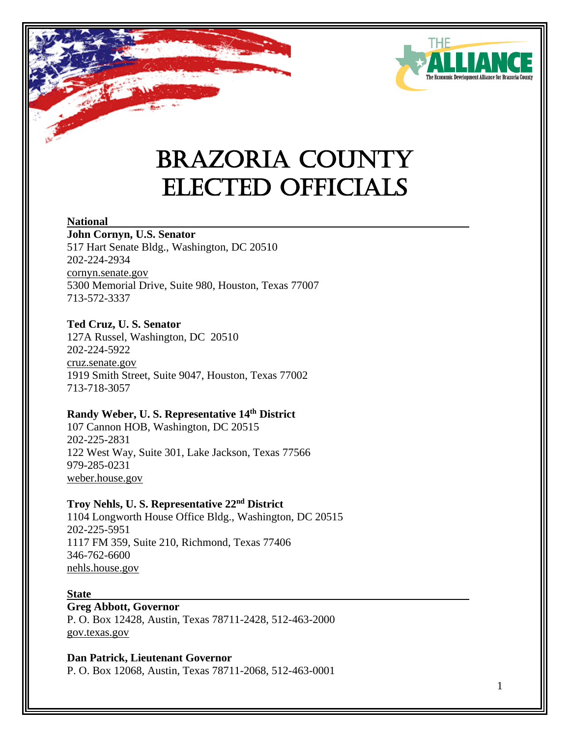

# Brazoria County Elected Officials

L

#### **National**

**John Cornyn, U.S. Senator** 517 Hart Senate Bldg., Washington, DC 20510 202-224-2934 [cornyn.senate.gov](http://www.cornyn.senate.gov/) 5300 Memorial Drive, Suite 980, Houston, Texas 77007 713-572-3337

# **Ted Cruz, U. S. Senator**

127A Russel, Washington, DC 20510 202-224-5922 cruz.senate.gov 1919 Smith Street, Suite 9047, Houston, Texas 77002 713-718-3057

# **Randy Weber, U. S. Representative 14th District**

107 Cannon HOB, Washington, DC 20515 202-225-2831 122 West Way, Suite 301, Lake Jackson, Texas 77566 979-285-0231 weber.house.gov

# **Troy Nehls, U. S. Representative 22nd District**

1104 Longworth House Office Bldg., Washington, DC 20515 202-225-5951 1117 FM 359, Suite 210, Richmond, Texas 77406 346-762-6600 nehls.house.gov

#### **State**

**Greg Abbott, Governor**

P. O. Box 12428, Austin, Texas 78711-2428, 512-463-2000 gov.texas.gov

#### **Dan Patrick, Lieutenant Governor**

P. O. Box 12068, Austin, Texas 78711-2068, 512-463-0001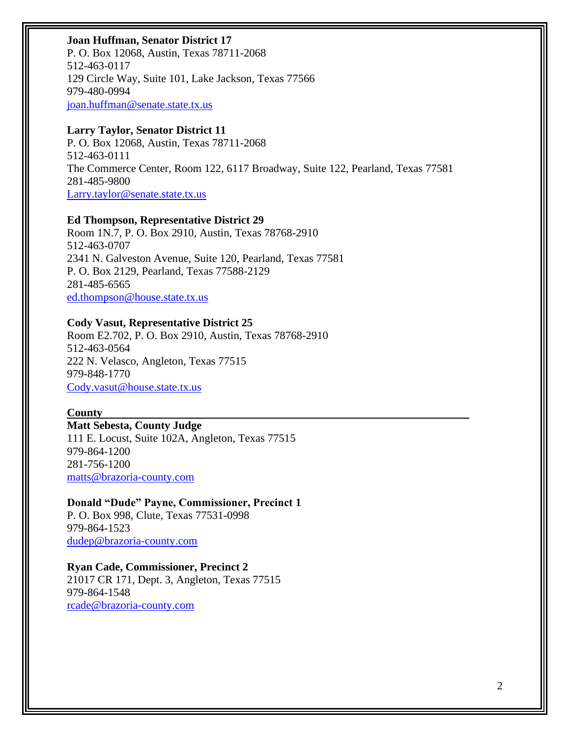#### **Joan Huffman, Senator District 17**

P. O. Box 12068, Austin, Texas 78711-2068 512-463-0117 129 Circle Way, Suite 101, Lake Jackson, Texas 77566 979-480-0994 [joan.huffman@senate.state.tx.us](mailto:joan.huffman@senate.state.tx.us)

#### **Larry Taylor, Senator District 11**

P. O. Box 12068, Austin, Texas 78711-2068 512-463-0111 The Commerce Center, Room 122, 6117 Broadway, Suite 122, Pearland, Texas 77581 281-485-9800 [Larry.taylor@senate.state.tx.us](mailto:Larry.taylor@senate.state.tx.us)

#### **Ed Thompson, Representative District 29**

Room 1N.7, P. O. Box 2910, Austin, Texas 78768-2910 512-463-0707 2341 N. Galveston Avenue, Suite 120, Pearland, Texas 77581 P. O. Box 2129, Pearland, Texas 77588-2129 281-485-6565 [ed.thompson@house.state.tx.us](mailto:ed.thompson@house.state.tx.us)

# **Cody Vasut, Representative District 25**

Room E2.702, P. O. Box 2910, Austin, Texas 78768-2910 512-463-0564 222 N. Velasco, Angleton, Texas 77515 979-848-1770 [Cody.vasut@house.state.tx.us](mailto:Cody.vasut@house.state.tx.us)

#### **County**

# **Matt Sebesta, County Judge**

111 E. Locust, Suite 102A, Angleton, Texas 77515 979-864-1200 281-756-1200 [matts@brazoria-county.com](mailto:matts@brazoria-county.com)

# **Donald "Dude" Payne, Commissioner, Precinct 1**

P. O. Box 998, Clute, Texas 77531-0998 979-864-1523 [dudep@brazoria-county.com](mailto:dudep@brazoria-county.com)

#### **Ryan Cade, Commissioner, Precinct 2**

21017 CR 171, Dept. 3, Angleton, Texas 77515 979-864-1548 [rcade@brazoria-county.com](mailto:rcade@brazoria-county.com)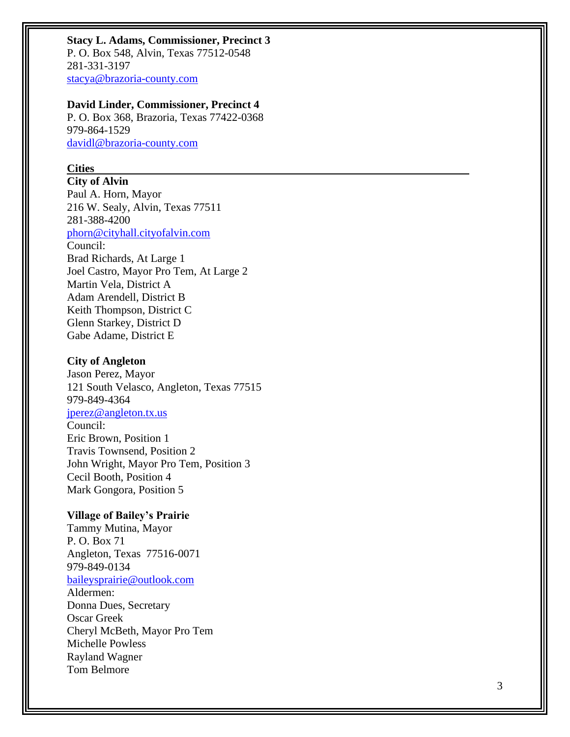#### **Stacy L. Adams, Commissioner, Precinct 3**

P. O. Box 548, Alvin, Texas 77512 -0548 281 -331 -3197 [stacya@brazoria](mailto:stacya@brazoria-county.com) -county.com

#### **David Linder, Commissioner, Precinc t 4**

P. O. Box 368, Brazoria, Texas 77422 -0368 979 -864 -1529 [davidl@brazoria](mailto:davidl@brazoria-county.com) -county.com

#### **Cities**

**City of Alvin** Paul A. Horn, Mayor 216 W. Sealy, Alvin, Texas 77511 281 -388 -4200 [phorn@cityhall.cityofalvin.com](mailto:phorn@cityhall.cityofalvin.com) Council: Brad Richards, At Large 1 Joel Castro, Mayor Pro Tem, At Large 2 M artin Vela, District A Adam Arendell, District B Keith Thompson, District C Glenn Starkey, District D Gabe Adame, Di strict E

# **City of Angleton**

Jason Perez, Mayor 121 South Velasco, Angleton, Texas 77515 979 -849 -4364 [jperez@angleton.tx.us](mailto:jperez@angleton.tx.us) Council: Eric Brown , Position 1 Travis Townsend, Position 2 John Wright, Mayor Pro Tem , Position 3

# **Village of Bailey's Prairie**

Cecil Booth , Position 4 Mark Gongora, Position 5

Tammy Mutina, Mayor P. O. Box 71 Angleton, Texas 775 1 6 -0071 979 -849 - 0134 [baileysprairie@outlook.com](mailto:baileysprairie@outlook.com) Aldermen:

Donn a Due s, Secretary Oscar Greek Cheryl McBeth, Mayor Pro Tem Michelle Powless Rayland Wagner Tom Belmore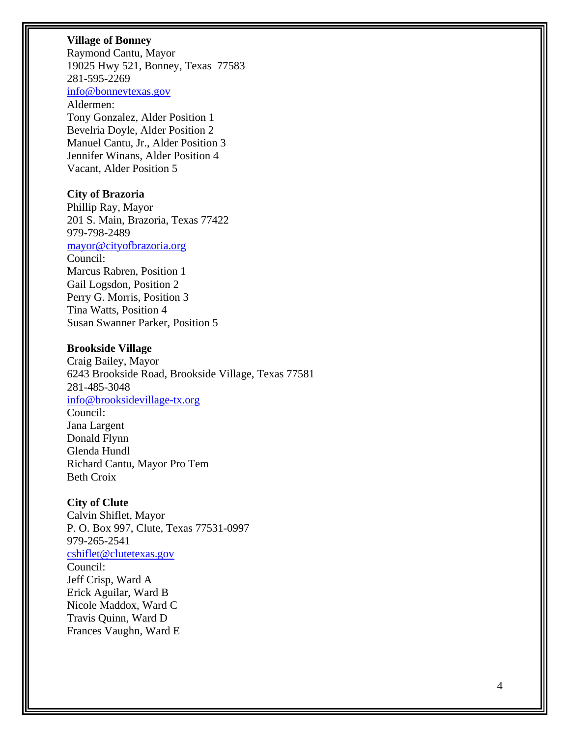#### **Village of Bonney**

Raymond Cantu, Mayor 19025 Hwy 521, Bonney, Texas 77583 281 -595 -2269

# [info@bonneytexas.gov](mailto:info@bonneytexas.gov)

Aldermen: Tony Gonzalez, Alder Position 1 Bevelria Doyle, Alder Position 2 Manuel Cantu, Jr., Alder Position 3 Jennifer Winans, Alder Position 4 Vacant, Alder Position 5

#### **City of Brazoria**

Phillip Ray, Mayor 201 S. Main, Brazoria, Texas 77422 979 -798 -24 8 9 [mayor@cityofbrazoria.org](mailto:mayor@cityofbrazoria.org)

Council: Marcus Rabren, Position 1 Gail Logsdon, Position 2 Perry G. Morris, Position 3 Tina Watts, Position 4 Susan Swanner Parker, Position 5

#### **Brookside Village**

Craig Bailey, Mayor 6243 Brookside Road, Brookside Village, Texa s 77581 281 -485 -3048 [info@brooksidevillage](mailto:info@brooksidevillage-tx.org) -tx.org Council: Jana Largent Donald Flynn Glenda Hundl Richard Cantu, Mayor Pro Tem Beth Croix

#### **City of Clute**

Calvin Shiflet, Mayor P. O. Box 997, Clute, Texas 77531 -0997 979 -265 -2541 [cshiflet@clutetexas.gov](mailto:cshiflet@ci.clute.tx.us) Council: Jeff Crisp, Ward A Erick Aguilar, Ward B Nicole Maddox, Ward C Travis Quinn, Ward D Fr ance s Vaughn, Ward E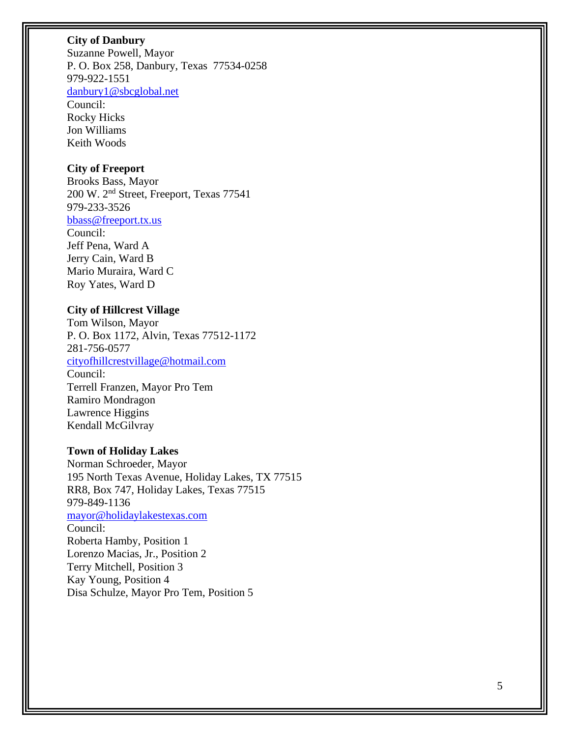#### **City of Danbury**

Suzanne Powell, Mayor P. O. Box 258, Danbury, Texas 77534 -0258 979 -922 -1551

# [danbury1@sbcglobal.net](mailto:danbury1@sbcglobal.net)

Council: Rocky Hicks Jon Williams Keith Woods

# **City of Freeport**

Brooks Bass, Mayor 200 W. 2nd Street, Freeport, Texas 77541 979 -233 -3526

# [bbass@freeport.tx.us](mailto:bbass@freeport.tx.us)

Council: Jeff Pena, Ward A Jerry Cain, Ward B Mario Muraira, Ward C Roy Yates, Ward D

#### **City of Hillcrest Villag e**

Tom Wilson, Mayor P. O. Box 1172, Alvin, Texas 77512 -1172 281 -756 -0577 [cityofhillcrestvillage@hotmail.com](mailto:cityofhillcrestvillage@hotmail.com) Council: Terrell Franzen, Mayor Pro Tem Ramiro Mondragon Lawrence Higgins Kendall McGilvray

#### **Town of Holiday Lakes**

Norman Schroeder, Mayor 195 North Texas Avenue, Holiday Lakes, TX 77515 RR8, Box 747, Holiday Lakes, Texas 77515 979 -849 -1136 [mayor@holidaylakestexas.com](mailto:mayor@holidaylakestexas.com) Council: Roberta Hamby, Position 1 Lorenzo Macias, Jr. , Position 2 Terry Mitchell, Position 3 Kay Young, Position 4 Disa Schulze, Mayor Pro Tem, Position 5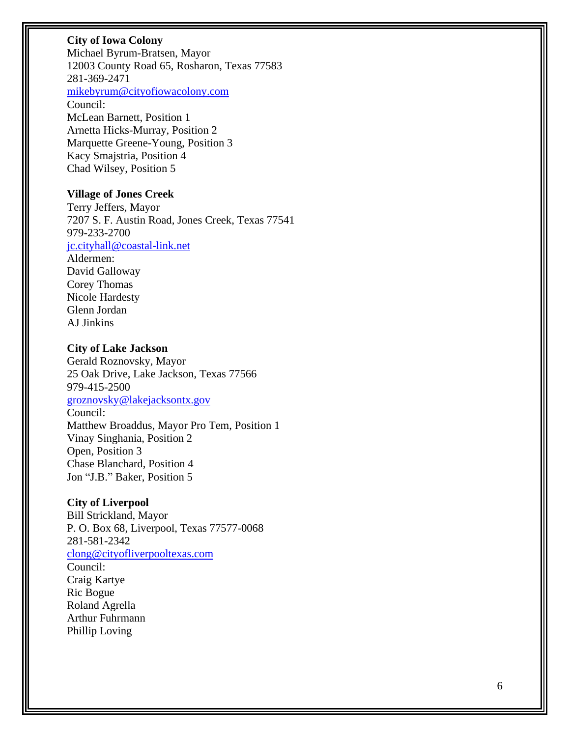#### **City of Iowa Colony**

Michael Byrum -Bratsen, Mayor 12003 County Road 65, Rosharon, Texas 77583 281 -369 -2471

[mikebyrum@cityofiowacolony.com](mailto:mholton@cityofiowacolony.com)

Council: McLean Barnett, Position 1 Arnetta Hicks -Murray, Position 2 Marquette Greene -Young, Position 3 Kacy Smajstria, Position 4 Chad Wilsey, Position 5

#### **Village of Jones Creek**

Terry Jeffers, Mayor 7207 S. F. Aust in Road, Jones Creek, Texas 77541 979 -233 -2700 [jc.cityhall@coastal](mailto:jc.cityhall@coastal-link.net) - link.net Aldermen: David Galloway Corey Thomas Nicole Hardesty

Glenn Jordan AJ Jinkins

# **City of Lake Jackson**

Gerald Roznovsky, M ayor 25 O ak Drive, Lake Jackson, Texas 77566 979 -415 -2500 [groznovsky@lakejacksontx.go](mailto:groznovsky@lakejacksontx.gov) v Council: Matthew Broaddus, Mayor Pro Tem , Position 1 Vinay Singhania, Position 2 Open, Position 3 Chase Blanchard, Posi tion 4 Jon "J.B." Baker, Position 5

# **City of Liverpool**

Bill Strickland, Mayor P. O. Box 68, Liverpool, Texas 77577 -0068 28 1 -581 -2342 [clong@cityofliverpooltexas.com](mailto:clong@cityofliverpooltexas.com) Council: Craig Kartye Ric Bogue Ro l and Agrella Arthur Fuhrmann Phillip Loving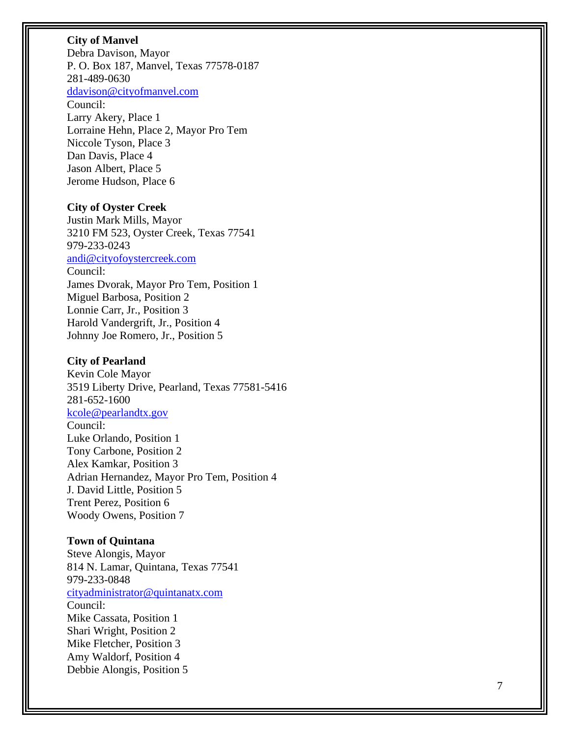#### **City of Manvel**

Debra Davison, Mayor P. O. Box 187, Manvel, Texas 77578 -0187 281 -489 -0630

# [ddavison@cityofmanvel.com](mailto:ddavison@cityofmanvel.com)

Council: Larry Akery, Place 1 Lorraine Hehn, Plac e 2, Mayor Pro Tem Niccole Tyson , Place 3 Dan Davis, Place 4 Jason Albert, Place 5 Jerome Hudson , Place 6

#### **City of Oyster Creek**

Justin Mark Mills, Mayor 3210 FM 523, Oyster Creek, Texas 77541 979 -233 - 0 243 an [di@cityofoystercreek.com](mailto:andi@cityofoystercreek.com) Council: James Dvorak, Mayor Pro Tem, Position 1 Miguel Barbosa, Position 2 Lonnie Carr , Jr . , Position 3 Harold Vandergrift , Jr. , Position 4 Johnny Joe Romero, Jr., Position 5

#### **City of Pearland**

Kevin Cole Mayor 3519 Liberty Drive, Pearl and, Texa s 77 581 -5416 281 -652 -1600 [kcole@pearlandtx.gov](mailto:treid@pearlandtx.gov) Council: Luke Orlando, Position 1 Tony Carbone , Position 2 Alex Kamkar , Position 3 Adrian Hernandez, Mayor Pro Tem, Positi o n 4 J. David Little , Position 5 Trent Pere z , P osition 6 Woody Owens, Position 7

#### **Town of Quintana**

Steve Alongis, Mayor 814 N. Lamar, Q uintana, Texas 77541 979 -233 -0848 [cityadministrato](mailto:cityadministrator@quintanatx.com) r @ quintanatx.com Council: Mike Cassata, Position 1 Shari W righ t , Position 2 Mike Fletcher, Position 3 Amy Waldorf, Position 4 Debbie Alongis, P osition 5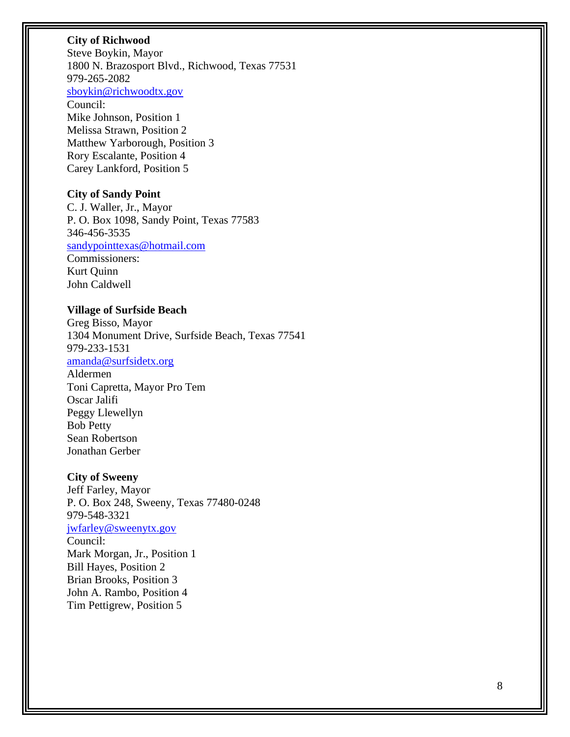#### **City of Richwood**

Steve Boyk i n, Mayo r 1800 N. Brazosport Blvd., Richwood, Texas 77531 979 -26 5 - 208 2 [sboykin@richwoodtx.gov](mailto:sboykin@richwoodtx.gov) Council:

Mike Johnson, Position 1 Melissa Strawn, Position 2 Matthew Yarborough, Position 3 Rory Escalante, Positio n 4 Carey Lankford, Position 5

#### **City of Sandy Point**

C. J. Waller, Jr., Mayor P. O. Box 1098, Sandy Point, Texas 77583 346 -456 -3535 [sandypointtexas@hotmail.com](mailto:sandypointtexas@hotmail.com) Commissioners: Kurt Quinn John Caldwell

#### **Villag e of Surfside Beach**

Greg Bisso , Mayor 13 04 Monument Drive, Surfside Beach, Texas 77541 979 -233 -1531 [amanda@surfsidetx.org](mailto:amanda@surfsidetx.org) Aldermen Toni Capretta, Mayor Pro Tem Oscar Jalifi Peggy Llewellyn Bob Petty Sean Robertson Jonathan Gerber

#### **City of Sweeny**

Jeff Farley, Mayor P. O. Box 248, Sweeny, Texas 77480 -0248 979 -548 -3321 [jwfarley@sweenytx.gov](mailto:ddlemon@ci.sweeny.tx.us) Council: Mark Morgan, Jr., Position 1 Bill Hayes, Posi tion 2 Brian Brooks, Position 3 John A. Rambo, Position 4 Tim Pettigrew, Position 5